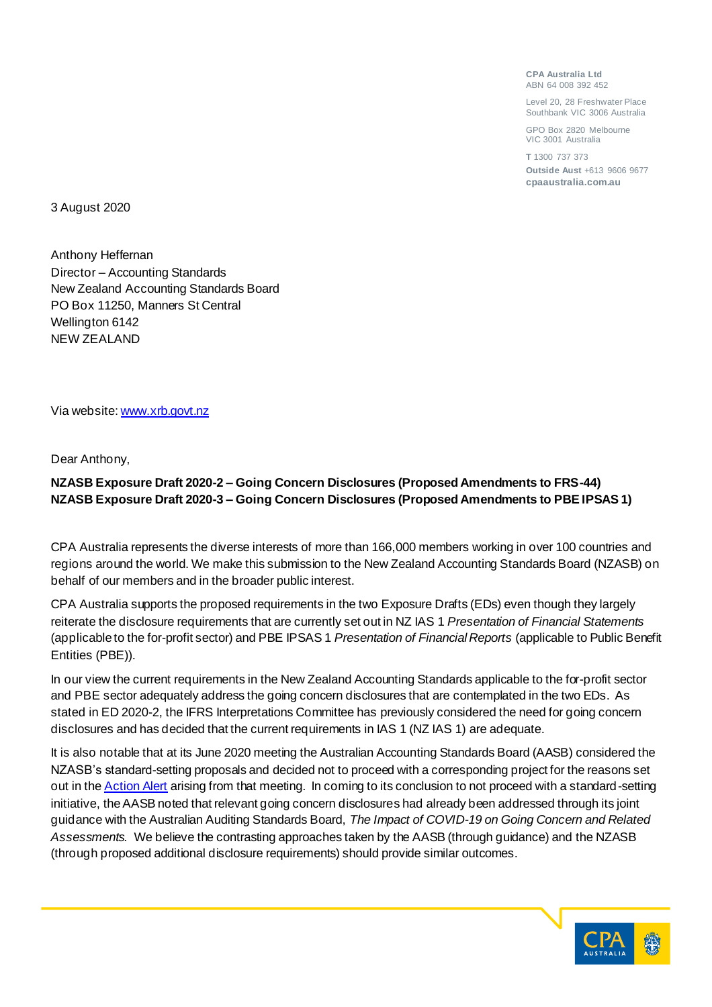**CPA Australia Ltd** ABN 64 008 392 452

Level 20, 28 Freshwater Place Southbank VIC 3006 Australia

GPO Box 2820 Melbourne VIC 3001 Australia

**T** 1300 737 373 **Outside Aust** +613 9606 9677 **cpaaustralia.com.au**

3 August 2020

Anthony Heffernan Director – Accounting Standards New Zealand Accounting Standards Board PO Box 11250, Manners St Central Wellington 6142 NEW ZEALAND

Via website: [www.xrb.govt.nz](http://www.xrb.govt.nz/)

Dear Anthony,

## **NZASB Exposure Draft 2020-2 – Going Concern Disclosures (Proposed Amendments to FRS-44) NZASB Exposure Draft 2020-3 – Going Concern Disclosures (Proposed Amendments to PBE IPSAS 1)**

CPA Australia represents the diverse interests of more than 166,000 members working in over 100 countries and regions around the world. We make this submission to the New Zealand Accounting Standards Board (NZASB) on behalf of our members and in the broader public interest.

CPA Australia supports the proposed requirements in the two Exposure Drafts (EDs) even though they largely reiterate the disclosure requirements that are currently set out in NZ IAS 1 *Presentation of Financial Statements*  (applicable to the for-profit sector) and PBE IPSAS 1 *Presentation of Financial Reports* (applicable to Public Benefit Entities (PBE)).

In our view the current requirements in the New Zealand Accounting Standards applicable to the for-profit sector and PBE sector adequately address the going concern disclosures that are contemplated in the two EDs. As stated in ED 2020-2, the IFRS Interpretations Committee has previously considered the need for going concern disclosures and has decided that the current requirements in IAS 1 (NZ IAS 1) are adequate.

It is also notable that at its June 2020 meeting the Australian Accounting Standards Board (AASB) considered the NZASB's standard-setting proposals and decided not to proceed with a corresponding project for the reasons set out in th[e Action Alert](https://www.aasb.gov.au/admin/file/content102/c3/203-ActionAlert.pdf) arising from that meeting. In coming to its conclusion to not proceed with a standard-setting initiative, the AASB noted that relevant going concern disclosures had already been addressed through its joint guidance with the Australian Auditing Standards Board, *The Impact of COVID-19 on Going Concern and Related Assessments.* We believe the contrasting approaches taken by the AASB (through guidance) and the NZASB (through proposed additional disclosure requirements) should provide similar outcomes.

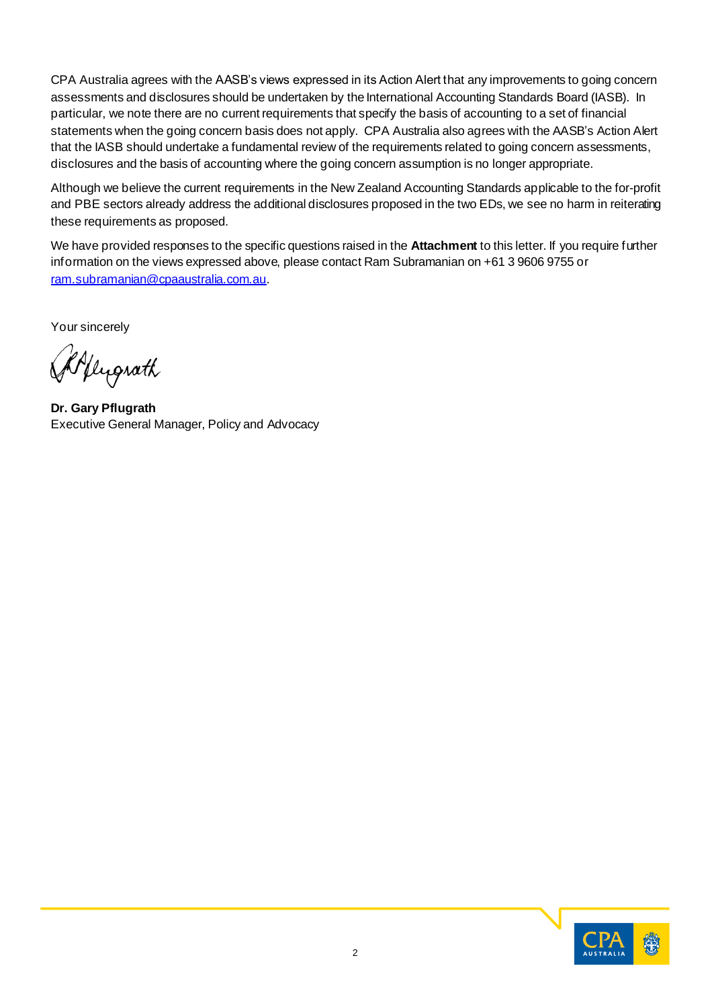CPA Australia agrees with the AASB's views expressed in its Action Alert that any improvements to going concern assessments and disclosures should be undertaken by the International Accounting Standards Board (IASB). In particular, we note there are no current requirements that specify the basis of accounting to a set of financial statements when the going concern basis does not apply. CPA Australia also agrees with the AASB's Action Alert that the IASB should undertake a fundamental review of the requirements related to going concern assessments, disclosures and the basis of accounting where the going concern assumption is no longer appropriate.

Although we believe the current requirements in the New Zealand Accounting Standards applicable to the for-profit and PBE sectors already address the additional disclosures proposed in the two EDs, we see no harm in reiterating these requirements as proposed.

We have provided responses to the specific questions raised in the **Attachment** to this letter. If you require further information on the views expressed above, please contact Ram Subramanian on +61 3 9606 9755 or [ram.subramanian@cpaaustralia.com.au](mailto:ram.subramanian@cpaaustralia.com.au).

Your sincerely

Alfluprath

**Dr. Gary Pflugrath** Executive General Manager, Policy and Advocacy